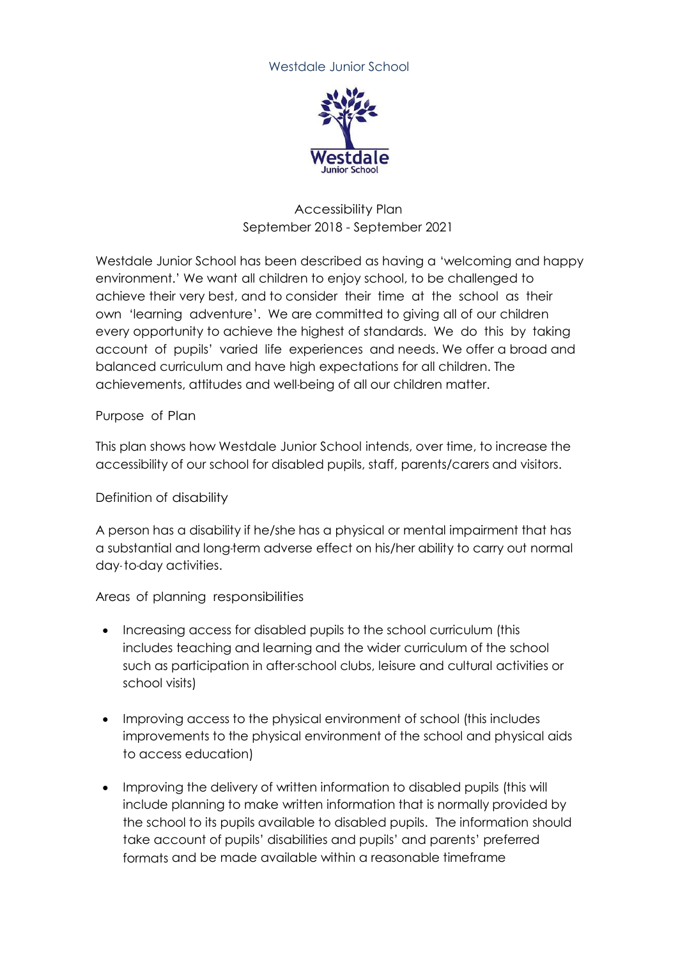## Westdale Junior School



## Accessibility Plan September 2018 - September 2021

Westdale Junior School has been described as having a 'welcoming and happy environment.' We want all children to enjoy school, to be challenged to achieve their very best, and to consider their time at the school as their own 'learning adventure'. We are committed to giving all of our children every opportunity to achieve the highest of standards. We do this by taking account of pupils' varied life experiences and needs. We offer a broad and balanced curriculum and have high expectations for all children. The achievements, attitudes and well-being of all our children matter.

## Purpose of Plan

This plan shows how Westdale Junior School intends, over time, to increase the accessibility of our school for disabled pupils, staff, parents/carers and visitors.

## Definition of disability

A person has a disability if he/she has a physical or mental impairment that has a substantial and long-term adverse effect on his/her ability to carry out normal day- to-day activities.

Areas of planning responsibilities

- Increasing access for disabled pupils to the school curriculum (this includes teaching and learning and the wider curriculum of the school such as participation in after-school clubs, leisure and cultural activities or school visits)
- Improving access to the physical environment of school (this includes improvements to the physical environment of the school and physical aids to access education)
- Improving the delivery of written information to disabled pupils (this will include planning to make written information that is normally provided by the school to its pupils available to disabled pupils. The information should take account of pupils' disabilities and pupils' and parents' preferred formats and be made available within a reasonable timeframe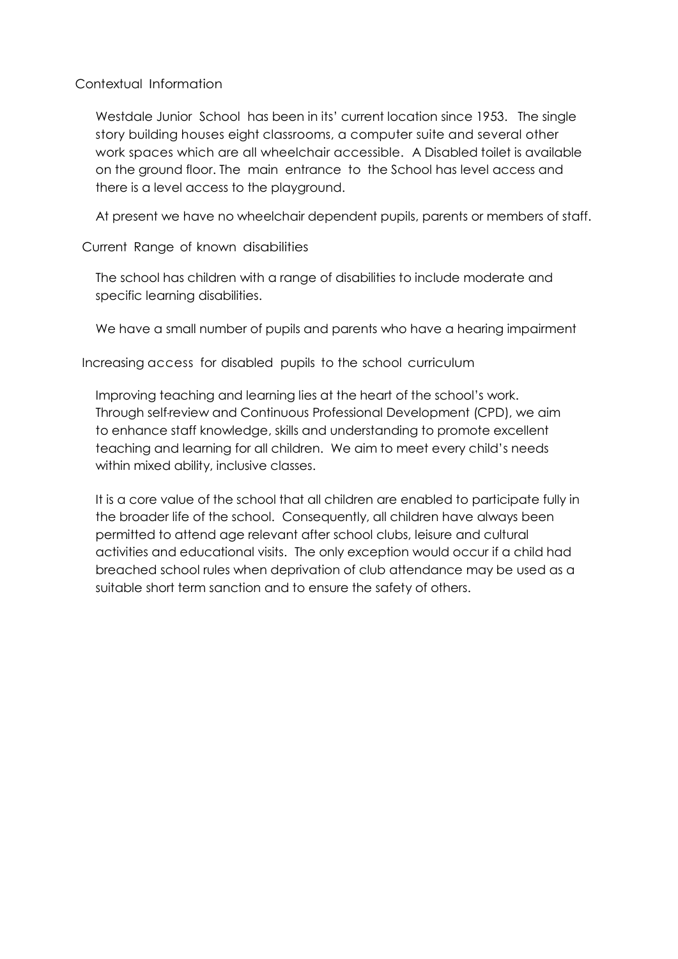Contextual Information

Westdale Junior School has been in its' current location since 1953. The single story building houses eight classrooms, a computer suite and several other work spaces which are all wheelchair accessible. A Disabled toilet is available on the ground floor. The main entrance to the School has level access and there is a level access to the playground.

At present we have no wheelchair dependent pupils, parents or members of staff.

Current Range of known disabilities

The school has children with a range of disabilities to include moderate and specific learning disabilities.

We have a small number of pupils and parents who have a hearing impairment

Increasing access for disabled pupils to the school curriculum

Improving teaching and learning lies at the heart of the school's work. Through self-review and Continuous Professional Development (CPD), we aim to enhance staff knowledge, skills and understanding to promote excellent teaching and learning for all children. We aim to meet every child's needs within mixed ability, inclusive classes.

It is a core value of the school that all children are enabled to participate fully in the broader life of the school. Consequently, all children have always been permitted to attend age relevant after school clubs, leisure and cultural activities and educational visits. The only exception would occur if a child had breached school rules when deprivation of club attendance may be used as a suitable short term sanction and to ensure the safety of others.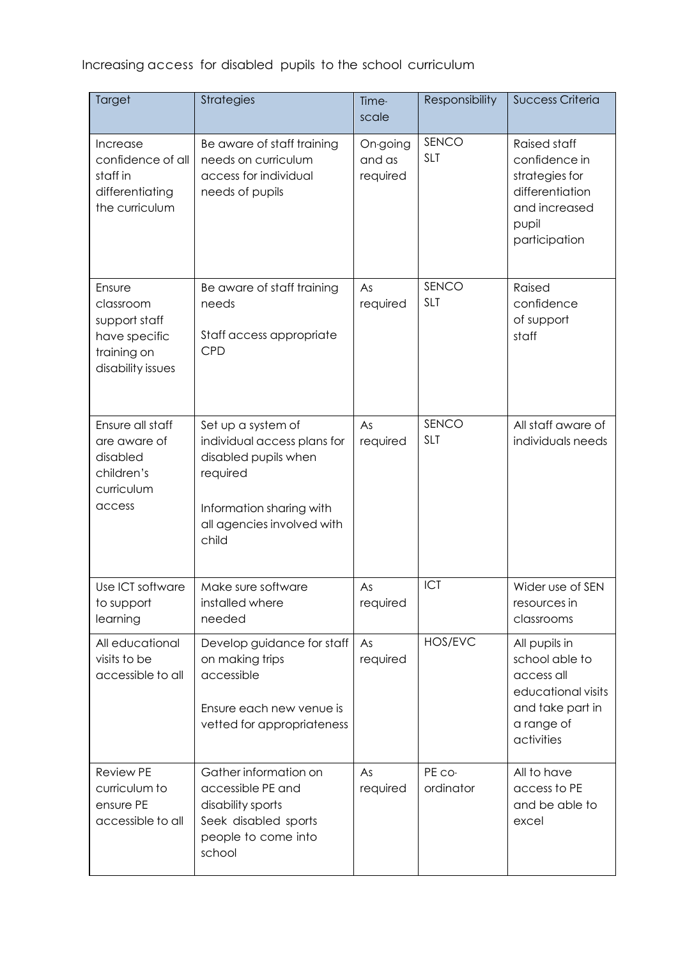| Increasing access for disabled pupils to the school curriculum |  |  |  |  |
|----------------------------------------------------------------|--|--|--|--|
|----------------------------------------------------------------|--|--|--|--|

| Target                                                                                    | <b>Strategies</b>                                                                                                                                        | Time-<br>scale                 | Responsibility      | <b>Success Criteria</b>                                                                                              |
|-------------------------------------------------------------------------------------------|----------------------------------------------------------------------------------------------------------------------------------------------------------|--------------------------------|---------------------|----------------------------------------------------------------------------------------------------------------------|
| Increase<br>confidence of all<br>staff in<br>differentiating<br>the curriculum            | Be aware of staff training<br>needs on curriculum<br>access for individual<br>needs of pupils                                                            | On-going<br>and as<br>required | SENCO<br><b>SLT</b> | <b>Raised staff</b><br>confidence in<br>strategies for<br>differentiation<br>and increased<br>pupil<br>participation |
| Ensure<br>classroom<br>support staff<br>have specific<br>training on<br>disability issues | Be aware of staff training<br>needs<br>Staff access appropriate<br><b>CPD</b>                                                                            | As<br>required                 | SENCO<br><b>SLT</b> | Raised<br>confidence<br>of support<br>staff                                                                          |
| Ensure all staff<br>are aware of<br>disabled<br>children's<br>curriculum<br>access        | Set up a system of<br>individual access plans for<br>disabled pupils when<br>required<br>Information sharing with<br>all agencies involved with<br>child | As<br>required                 | SENCO<br><b>SLT</b> | All staff aware of<br>individuals needs                                                                              |
| Use ICT software<br>to support<br>learning                                                | Make sure software<br>installed where<br>needed                                                                                                          | As<br>required                 | ICT                 | Wider use of SEN<br>resources in<br>classrooms                                                                       |
| All educational<br>visits to be<br>accessible to all                                      | Develop guidance for staff<br>on making trips<br>accessible<br>Ensure each new venue is<br>vetted for appropriateness                                    | As<br>required                 | HOS/EVC             | All pupils in<br>school able to<br>access all<br>educational visits<br>and take part in<br>a range of<br>activities  |
| <b>Review PE</b><br>curriculum to<br>ensure PE<br>accessible to all                       | Gather information on<br>accessible PE and<br>disability sports<br>Seek disabled sports<br>people to come into<br>school                                 | As<br>required                 | PE co-<br>ordinator | All to have<br>access to PE<br>and be able to<br>excel                                                               |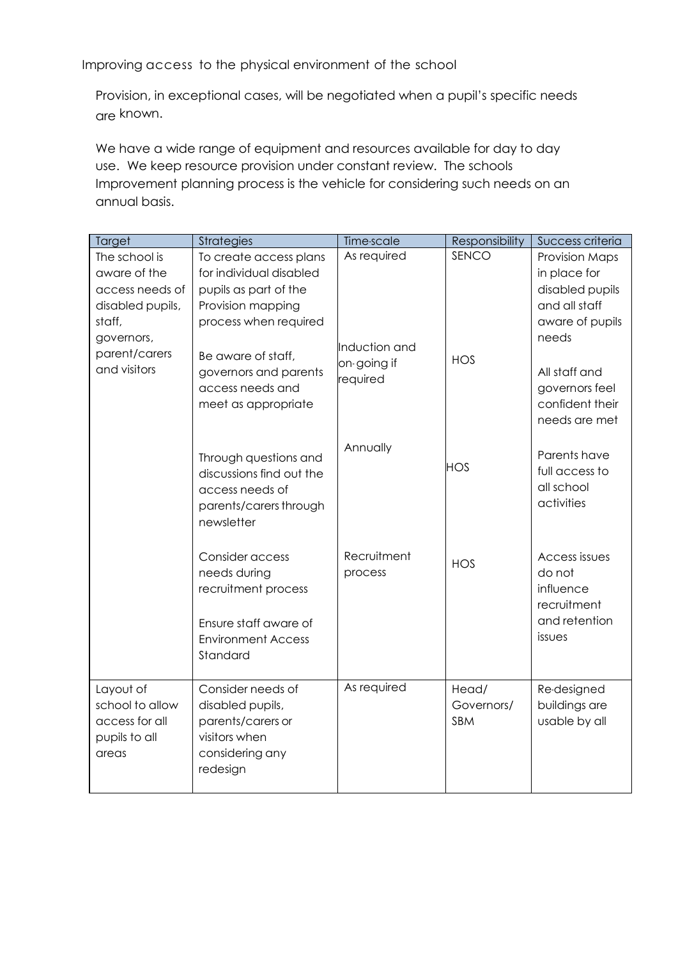Improving access to the physical environment of the school

Provision, in exceptional cases, will be negotiated when a pupil's specific needs are known.

We have a wide range of equipment and resources available for day to day use. We keep resource provision under constant review. The schools Improvement planning process is the vehicle for considering such needs on an annual basis.

| Target                                                                                                                        | <b>Strategies</b>                                                                                                                                                                                                  | Time-scale                                              | Responsibility             | Success criteria                                                                                                                                     |
|-------------------------------------------------------------------------------------------------------------------------------|--------------------------------------------------------------------------------------------------------------------------------------------------------------------------------------------------------------------|---------------------------------------------------------|----------------------------|------------------------------------------------------------------------------------------------------------------------------------------------------|
| The school is<br>aware of the<br>access needs of<br>disabled pupils,<br>staff,<br>governors,<br>parent/carers<br>and visitors | To create access plans<br>for individual disabled<br>pupils as part of the<br>Provision mapping<br>process when required<br>Be aware of staff,<br>governors and parents<br>access needs and<br>meet as appropriate | As required<br>Induction and<br>on-going if<br>required | SENCO<br><b>HOS</b>        | Provision Maps<br>in place for<br>disabled pupils<br>and all staff<br>aware of pupils<br>needs<br>All staff and<br>governors feel<br>confident their |
|                                                                                                                               | Through questions and<br>discussions find out the<br>access needs of<br>parents/carers through<br>newsletter                                                                                                       | Annually                                                | <b>HOS</b>                 | needs are met<br>Parents have<br>full access to<br>all school<br>activities                                                                          |
|                                                                                                                               | Consider access<br>needs during<br>recruitment process<br>Ensure staff aware of<br><b>Environment Access</b><br>Standard                                                                                           | Recruitment<br>process                                  | <b>HOS</b>                 | Access issues<br>do not<br>influence<br>recruitment<br>and retention<br>issues                                                                       |
| Layout of<br>school to allow<br>access for all<br>pupils to all<br>areas                                                      | Consider needs of<br>disabled pupils,<br>parents/carers or<br>visitors when<br>considering any<br>redesign                                                                                                         | As required                                             | Head/<br>Governors/<br>SBM | Re-designed<br>buildings are<br>usable by all                                                                                                        |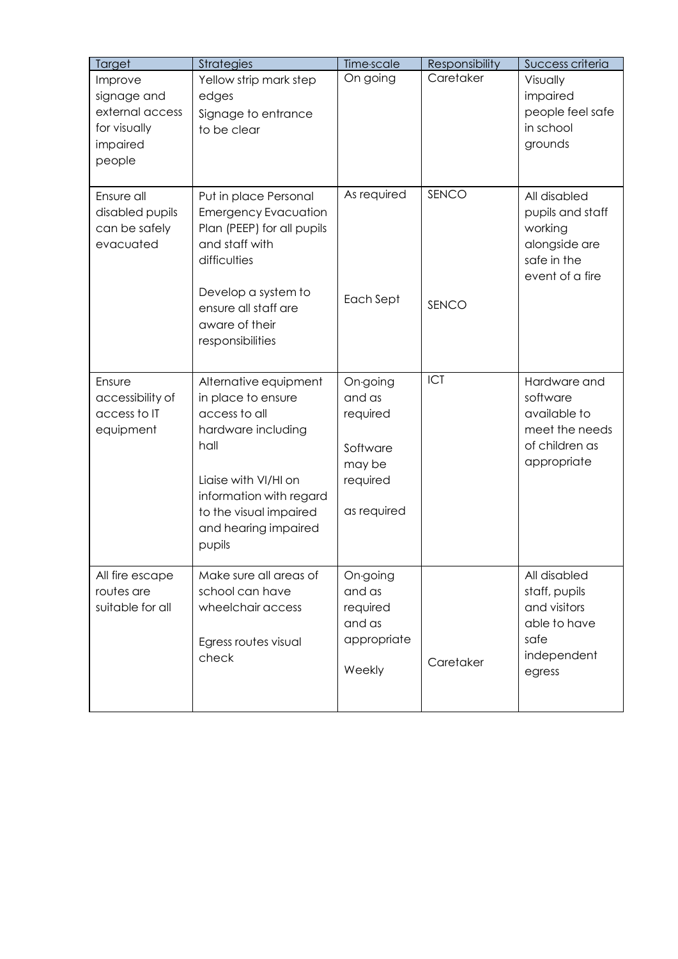| Target                                                                          | <b>Strategies</b>                                                                                                                                                                                         | Time-scale                                                                      | Responsibility | Success criteria                                                                               |
|---------------------------------------------------------------------------------|-----------------------------------------------------------------------------------------------------------------------------------------------------------------------------------------------------------|---------------------------------------------------------------------------------|----------------|------------------------------------------------------------------------------------------------|
| Improve<br>signage and<br>external access<br>for visually<br>impaired<br>people | Yellow strip mark step<br>edges<br>Signage to entrance<br>to be clear                                                                                                                                     | On going                                                                        | Caretaker      | Visually<br>impaired<br>people feel safe<br>in school<br>grounds                               |
| Ensure all<br>disabled pupils<br>can be safely<br>evacuated                     | Put in place Personal<br><b>Emergency Evacuation</b><br>Plan (PEEP) for all pupils<br>and staff with<br>difficulties<br>Develop a system to<br>ensure all staff are<br>aware of their<br>responsibilities | As required<br>Each Sept                                                        | SENCO<br>SENCO | All disabled<br>pupils and staff<br>working<br>alongside are<br>safe in the<br>event of a fire |
| Ensure<br>accessibility of<br>access to IT<br>equipment                         | Alternative equipment<br>in place to ensure<br>access to all<br>hardware including<br>hall<br>Liaise with VI/HI on<br>information with regard<br>to the visual impaired<br>and hearing impaired<br>pupils | On-going<br>and as<br>required<br>Software<br>may be<br>required<br>as required | ICT            | Hardware and<br>software<br>available to<br>meet the needs<br>of children as<br>appropriate    |
| All fire escape<br>routes are<br>suitable for all                               | Make sure all areas of<br>school can have<br>wheelchair access<br>Egress routes visual<br>check                                                                                                           | On-going<br>and as<br>required<br>and as<br>appropriate<br>Weekly               | Caretaker      | All disabled<br>staff, pupils<br>and visitors<br>able to have<br>safe<br>independent<br>egress |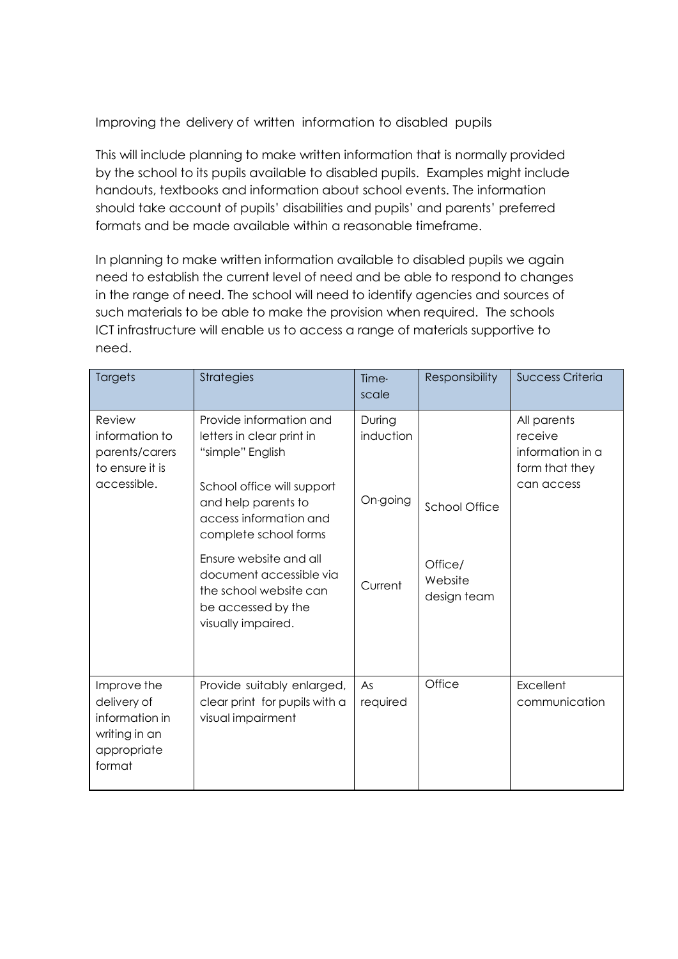Improving the delivery of written information to disabled pupils

This will include planning to make written information that is normally provided by the school to its pupils available to disabled pupils. Examples might include handouts, textbooks and information about school events. The information should take account of pupils' disabilities and pupils' and parents' preferred formats and be made available within a reasonable timeframe.

In planning to make written information available to disabled pupils we again need to establish the current level of need and be able to respond to changes in the range of need. The school will need to identify agencies and sources of such materials to be able to make the provision when required. The schools ICT infrastructure will enable us to access a range of materials supportive to need.

| Targets                                                                                | <b>Strategies</b>                                                                                                             | Time-<br>scale                  | Responsibility                    | <b>Success Criteria</b>                                                    |
|----------------------------------------------------------------------------------------|-------------------------------------------------------------------------------------------------------------------------------|---------------------------------|-----------------------------------|----------------------------------------------------------------------------|
| Review<br>information to<br>parents/carers<br>to ensure it is<br>accessible.           | Provide information and<br>letters in clear print in<br>"simple" English<br>School office will support<br>and help parents to | During<br>induction<br>On-going |                                   | All parents<br>receive<br>information in a<br>form that they<br>can access |
|                                                                                        | access information and<br>complete school forms                                                                               |                                 | <b>School Office</b>              |                                                                            |
|                                                                                        | Ensure website and all<br>document accessible via<br>the school website can<br>be accessed by the<br>visually impaired.       | Current                         | Office/<br>Website<br>design team |                                                                            |
| Improve the<br>delivery of<br>information in<br>writing in an<br>appropriate<br>format | Provide suitably enlarged,<br>clear print for pupils with a<br>visual impairment                                              | As<br>required                  | Office                            | Excellent<br>communication                                                 |